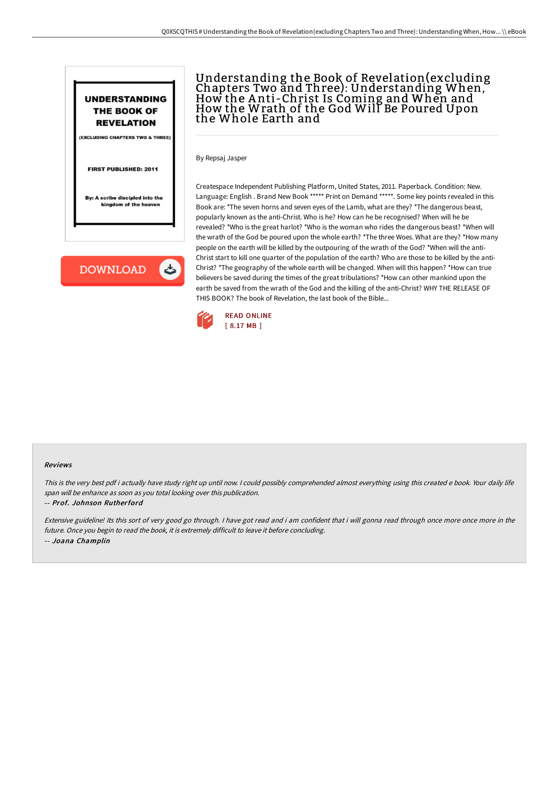

(EXCLUDING CHAPTERS TWO & THREE)

### FIRST PUBLISHED: 2011

By: A scribe discipled into the kingdom of the heaven

**DOWNLOAD** しゃ

# Understanding the Book of Revelation(excluding Chapters Two and Three): Understanding When,<br>How the Anti-Christ Is Coming and When and How the Wrath of the God Will Be Poured Upon the Whole Earth and

By Repsaj Jasper

Createspace Independent Publishing Platform, United States, 2011. Paperback. Condition: New. Language: English . Brand New Book \*\*\*\*\* Print on Demand \*\*\*\*\*. Some key points revealed in this Book are: \*The seven horns and seven eyes of the Lamb, what are they? \*The dangerous beast, popularly known as the anti-Christ. Who is he? How can he be recognised? When will he be revealed? \*Who is the great harlot? \*Who is the woman who rides the dangerous beast? \*When will the wrath of the God be poured upon the whole earth? \*The three Woes. What are they? \*How many people on the earth will be killed by the outpouring of the wrath of the God? \*When will the anti-Christ start to kill one quarter of the population of the earth? Who are those to be killed by the anti-Christ? \*The geography of the whole earth will be changed. When will this happen? \*How can true believers be saved during the times of the great tribulations? \*How can other mankind upon the earth be saved from the wrath of the God and the killing of the anti-Christ? WHY THE RELEASE OF THIS BOOK? The book of Revelation, the last book of the Bible...



#### Reviews

This is the very best pdf i actually have study right up until now. <sup>I</sup> could possibly comprehended almost everything using this created <sup>e</sup> book. Your daily life span will be enhance as soon as you total looking over this publication.

#### -- Prof. Johnson Rutherford

Extensive guideline! Its this sort of very good go through. <sup>I</sup> have got read and i am confident that i will gonna read through once more once more in the future. Once you begin to read the book, it is extremely difficult to leave it before concluding. -- Joana Champlin